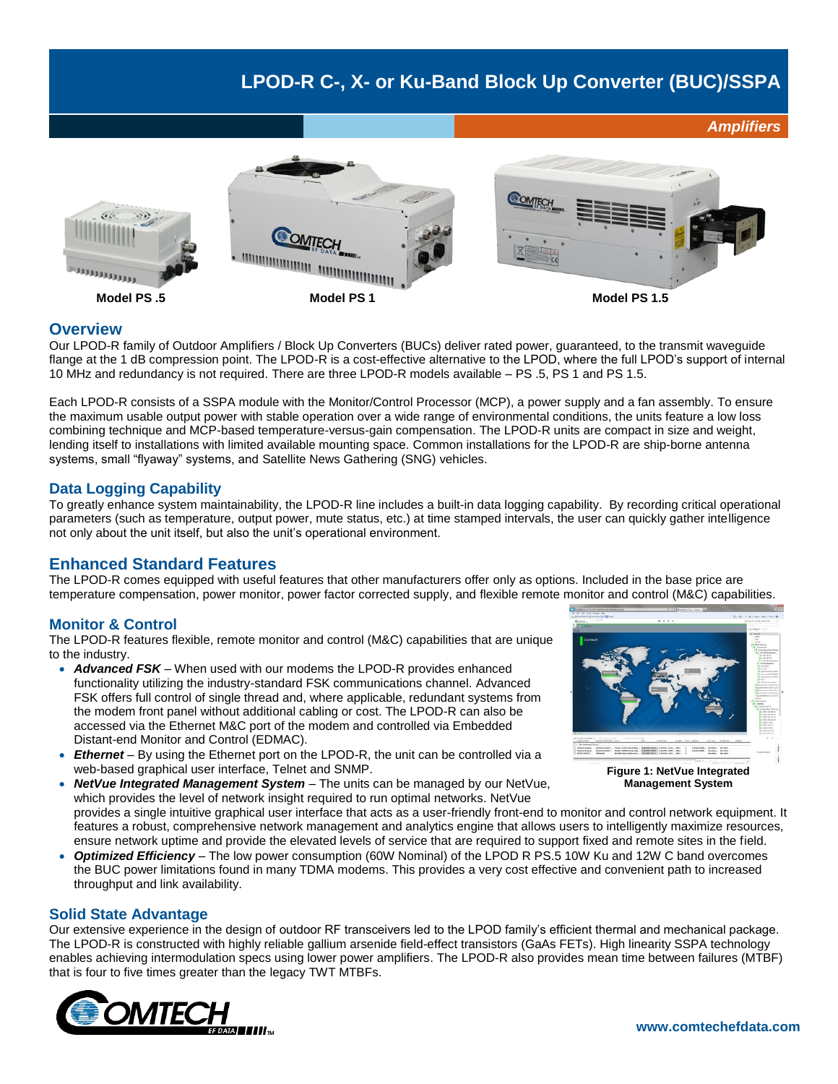# **LPOD-R C-, X- or Ku-Band Block Up Converter (BUC)/SSPA**



#### **Overview**

Our LPOD-R family of Outdoor Amplifiers / Block Up Converters (BUCs) deliver rated power, guaranteed, to the transmit waveguide flange at the 1 dB compression point. The LPOD-R is a cost-effective alternative to the LPOD, where the full LPOD's support of internal 10 MHz and redundancy is not required. There are three LPOD-R models available – PS .5, PS 1 and PS 1.5.

Each LPOD-R consists of a SSPA module with the Monitor/Control Processor (MCP), a power supply and a fan assembly. To ensure the maximum usable output power with stable operation over a wide range of environmental conditions, the units feature a low loss combining technique and MCP-based temperature-versus-gain compensation. The LPOD-R units are compact in size and weight, lending itself to installations with limited available mounting space. Common installations for the LPOD-R are ship-borne antenna systems, small "flyaway" systems, and Satellite News Gathering (SNG) vehicles.

# **Data Logging Capability**

To greatly enhance system maintainability, the LPOD-R line includes a built-in data logging capability. By recording critical operational parameters (such as temperature, output power, mute status, etc.) at time stamped intervals, the user can quickly gather intelligence not only about the unit itself, but also the unit's operational environment.

# **Enhanced Standard Features**

The LPOD-R comes equipped with useful features that other manufacturers offer only as options. Included in the base price are temperature compensation, power monitor, power factor corrected supply, and flexible remote monitor and control (M&C) capabilities.

# **Monitor & Control**

The LPOD-R features flexible, remote monitor and control (M&C) capabilities that are unique to the industry.

- *Advanced FSK* When used with our modems the LPOD-R provides enhanced functionality utilizing the industry-standard FSK communications channel. Advanced FSK offers full control of single thread and, where applicable, redundant systems from the modem front panel without additional cabling or cost. The LPOD-R can also be accessed via the Ethernet M&C port of the modem and controlled via Embedded Distant-end Monitor and Control (EDMAC).
- *Ethernet* By using the Ethernet port on the LPOD-R, the unit can be controlled via a web-based graphical user interface, Telnet and SNMP.
- *NetVue Integrated Management System* The units can be managed by our NetVue, which provides the level of network insight required to run optimal networks. NetVue provides a single intuitive graphical user interface that acts as a user-friendly front-end to monitor and control network equipment. It features a robust, comprehensive network management and analytics engine that allows users to intelligently maximize resources, ensure network uptime and provide the elevated levels of service that are required to support fixed and remote sites in the field. **Management System**
- *Optimized Efficiency* The low power consumption (60W Nominal) of the LPOD R PS.5 10W Ku and 12W C band overcomes the BUC power limitations found in many TDMA modems. This provides a very cost effective and convenient path to increased throughput and link availability.

#### **Solid State Advantage**

Our extensive experience in the design of outdoor RF transceivers led to the LPOD family's efficient thermal and mechanical package. The LPOD-R is constructed with highly reliable gallium arsenide field-effect transistors (GaAs FETs). High linearity SSPA technology enables achieving intermodulation specs using lower power amplifiers. The LPOD-R also provides mean time between failures (MTBF) that is four to five times greater than the legacy TWT MTBFs.





*Amplifiers*